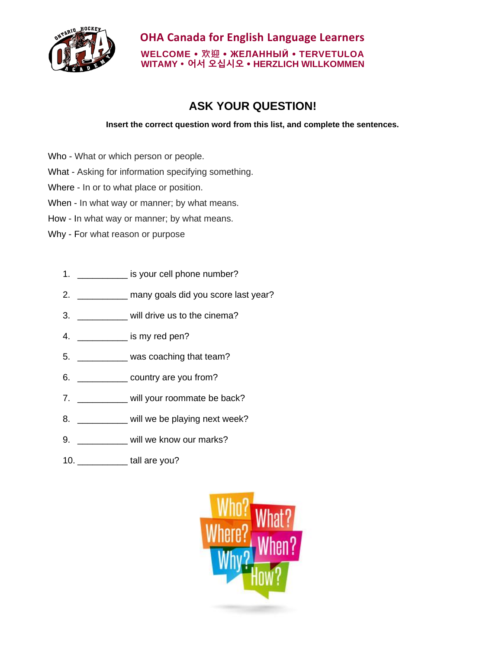

## **OHA Canada for English Language Learners WELCOME 欢迎 ЖЕЛАННЫЙ TERVETULOA WITAMY 어서 오십시오 HERZLICH WILLKOMMEN**

## **ASK YOUR QUESTION!**

## **Insert the correct question word from this list, and complete the sentences.**

- Who What or which person or people.
- What Asking for information specifying something.
- Where In or to what place or position.
- When In what way or manner; by what means.
- How In what way or manner; by what means.
- Why For what reason or purpose
	- 1. \_\_\_\_\_\_\_\_\_\_\_\_\_ is your cell phone number?
	- 2. \_\_\_\_\_\_\_\_\_\_ many goals did you score last year?
	- 3. \_\_\_\_\_\_\_\_\_\_ will drive us to the cinema?
	- 4. \_\_\_\_\_\_\_\_\_\_ is my red pen?
	- 5. \_\_\_\_\_\_\_\_\_\_ was coaching that team?
	- 6. \_\_\_\_\_\_\_\_\_\_ country are you from?
	- 7. \_\_\_\_\_\_\_\_\_\_ will your roommate be back?
	- 8. \_\_\_\_\_\_\_\_\_ will we be playing next week?
	- 9. \_\_\_\_\_\_\_\_\_\_\_ will we know our marks?
	- 10. \_\_\_\_\_\_\_\_\_\_ tall are you?